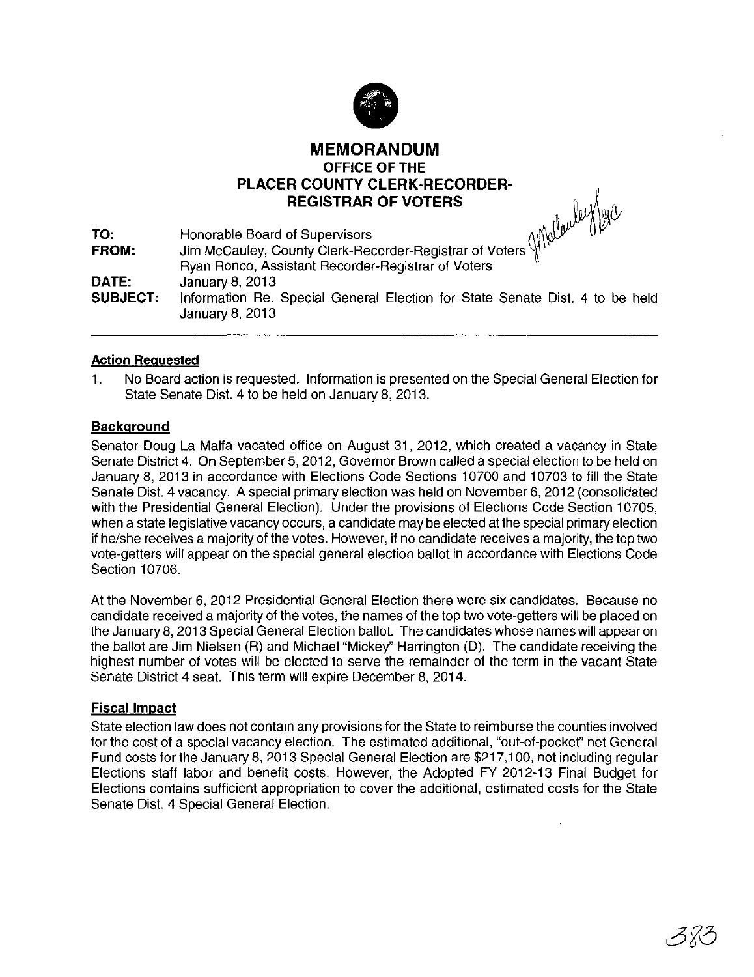

## **MEMORANDUM OFFICE OF THE PLACER COUNTY CLERK-RECORDER-REGISTRAR OF VOTERS**  $\begin{bmatrix} \mathbf{0} & \mathbf{0} & \mathbf{0} & \mathbf{0} & \mathbf{0} & \mathbf{0} & \mathbf{0} & \mathbf{0} & \mathbf{0} & \mathbf{0} & \mathbf{0} & \mathbf{0} & \mathbf{0} & \mathbf{0} & \mathbf{0} & \mathbf{0} & \mathbf{0} & \mathbf{0} & \mathbf{0} & \mathbf{0} & \mathbf{0} & \mathbf{0} & \mathbf{0} & \mathbf{0} & \mathbf{0} & \mathbf{0} & \mathbf{0} & \mathbf{$

| TO:             | Honorable Board of Supervisors<br>Jim McCauley, County Clerk-Recorder-Registrar of Voters<br>ΠV |
|-----------------|-------------------------------------------------------------------------------------------------|
| <b>FROM:</b>    |                                                                                                 |
|                 | Ryan Ronco, Assistant Recorder-Registrar of Voters                                              |
| DATE:           | January 8, 2013                                                                                 |
| <b>SUBJECT:</b> | Information Re. Special General Election for State Senate Dist. 4 to be held<br>January 8, 2013 |

## **Action Reguested**

1. No Board action is requested. Information is presented on the Special General Election for State Senate Dist. 4 to be held on January 8, 2013.

## **Background**

Senator Doug La Malfa vacated office on August 31,2012, which created a vacancy in State Senate District 4. On September 5, 2012, Governor Brown called a special election to be held on January 8, 2013 in accordance with Elections Code Sections 10700 and 10703 to fill the State Senate Dist. 4 vacancy. A special primary election was held on November 6, 2012 (consolidated with the Presidential General Election). Under the provisions of Elections Code Section 10705, when a state legislative vacancy occurs, a candidate may be elected at the special primary election if he/she receives a majority of the votes. However, if no candidate receives a majority, the top two vote-getters will appear on the special general election ballot in accordance with Elections Code Section 10706.

At the November 6, 2012 Presidential General Election there were six candidates. Because no candidate received a majority of the votes, the names of the top two vote-getters will be placed on the January 8,2013 Special General Election ballot. The candidates whose names will appear on the ballot are Jim Nielsen (R) and Michael "Mickey" Harrington (D). The candidate receiving the highest number of votes will be elected to serve the remainder of the term in the vacant State Senate District 4 seat. This term will expire December 8, 2014.

## Fiscal Impact

State election law does not contain any provisions for the State to reimburse the counties involved for the cost of a special vacancy election. The estimated additional, "out-of-pocket" net General Fund costs for the January 8,2013 Special General Election are \$217,100, not including regular Elections staff labor and benefit costs. However, the Adopted FY 2012-13 Final Budget for Elections contains sufficient appropriation to cover the additional, estimated costs for the State Senate Dist. 4 Special General Election.